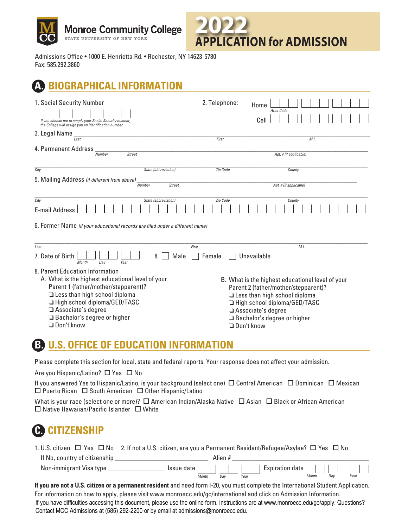



Admissions Office · 1000 E. Henrietta Rd. · Rochester, NY 14623-5780 Fax: 585.292.3860

# *BIOGRAPHICAL INFORMATION*

| 1. Social Security Number<br>If you choose not to supply your Social Security number,<br>the College will assign you an identification number.<br>3. Legal Name                                                                                     | 2. Telephone:   | Home<br>Area Code<br>Cell                                                                                                                                                                                                                  |
|-----------------------------------------------------------------------------------------------------------------------------------------------------------------------------------------------------------------------------------------------------|-----------------|--------------------------------------------------------------------------------------------------------------------------------------------------------------------------------------------------------------------------------------------|
| Last<br>4. Permanent Address<br><b>Street</b><br>Number                                                                                                                                                                                             | First           | M.L<br>Apt. # (if applicable)                                                                                                                                                                                                              |
| City<br>State (abbreviation)<br>5. Mailing Address (if different from above)<br><b>Street</b><br>Number                                                                                                                                             | Zip Code        | County<br>Apt. # (if applicable)                                                                                                                                                                                                           |
| City<br>State (abbreviation)<br><b>E-mail Address</b><br>6. Former Name (if your educational records are filed under a different name)                                                                                                              | Zip Code        | County                                                                                                                                                                                                                                     |
| Last<br>7. Date of Birth<br>Male<br>8.<br>Year<br>Month<br>Dav<br>8. Parent Education Information                                                                                                                                                   | First<br>Female | M.I.<br>Unavailable                                                                                                                                                                                                                        |
| A. What is the highest educational level of your<br>Parent 1 (father/mother/stepparent)?<br>$\Box$ Less than high school diploma<br>High school diploma/GED/TASC<br>$\Box$ Associate's degree<br>□ Bachelor's degree or higher<br>$\Box$ Don't know |                 | B. What is the highest educational level of your<br>Parent 2 (father/mother/stepparent)?<br>Less than high school diploma<br>High school diploma/GED/TASC<br>Associate's degree<br>$\Box$ Bachelor's degree or higher<br>$\Box$ Don't know |

### **B. U.S. OFFICE OF EDUCATION INFORMATION**

Please complete this section for local, state and federal reports. Your response does not affect your admission.

Are you Hispanic/Latino?  $\Box$  Yes  $\Box$  No

If you answered Yes to Hispanic/Latino, is your background (select one)  $\Box$  Central American  $\Box$  Dominican  $\Box$  Mexican  $\square$  Puerto Rican  $\square$  South American  $\square$  Other Hispanic/Latino

What is your race (select one or more)?  $\Box$  American Indian/Alaska Native  $\Box$  Asian  $\Box$  Black or African American  $\square$  Native Hawaiian/Pacific Islander  $\square$  White

## **C. CITIZENSHIP**

|                               | 1. U.S. citizen $\Box$ Yes $\Box$ No 2. If not a U.S. citizen, are you a Permanent Resident/Refugee/Asylee? $\Box$ Yes $\Box$ No |
|-------------------------------|----------------------------------------------------------------------------------------------------------------------------------|
| If No, country of citizenship | Alien #                                                                                                                          |
| Non-immigrant Visa type       | Expiration date  <br>$ $ Issue date $ $ $ $ $ $ $ $ $ $ $ $                                                                      |
|                               | Month<br>Year<br>Dav<br>Month<br>Year<br>Dav                                                                                     |

**If you are not a U.S. citizen or a permanent resident** and need form I-20, you must complete the International Student Application. For information on how to apply, please visit<www.monroecc.edu/go/international>and click on Admission Information. If you have difficulties accessing this document, please use the online form. Instructions are at [www.monroecc.edu/go/apply.](https://www.monroecc.edu/go/apply) Questions? Contact MCC Admissions at (585) 292-2200 or by email at [admissions@monroecc.edu.](mailto:admissions@monroecc.edu)